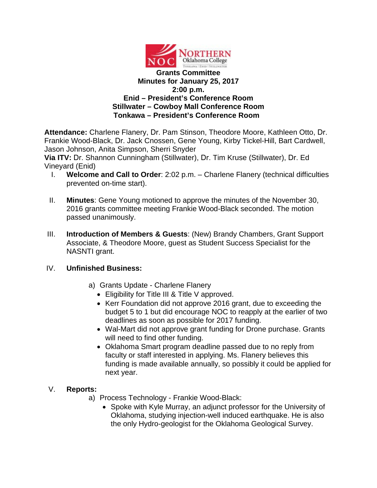

**Attendance:** Charlene Flanery, Dr. Pam Stinson, Theodore Moore, Kathleen Otto, Dr. Frankie Wood-Black, Dr. Jack Cnossen, Gene Young, Kirby Tickel-Hill, Bart Cardwell, Jason Johnson, Anita Simpson, Sherri Snyder

**Via ITV:** Dr. Shannon Cunningham (Stillwater), Dr. Tim Kruse (Stillwater), Dr. Ed Vineyard (Enid)

- I. **Welcome and Call to Order**: 2:02 p.m. Charlene Flanery (technical difficulties prevented on-time start).
- II. **Minutes**: Gene Young motioned to approve the minutes of the November 30, 2016 grants committee meeting Frankie Wood-Black seconded. The motion passed unanimously.
- III. **Introduction of Members & Guests**: (New) Brandy Chambers, Grant Support Associate, & Theodore Moore, guest as Student Success Specialist for the NASNTI grant.

#### IV. **Unfinished Business:**

a) Grants Update - Charlene Flanery

- Eligibility for Title III & Title V approved.
- Kerr Foundation did not approve 2016 grant, due to exceeding the budget 5 to 1 but did encourage NOC to reapply at the earlier of two deadlines as soon as possible for 2017 funding.
- Wal-Mart did not approve grant funding for Drone purchase. Grants will need to find other funding.
- Oklahoma Smart program deadline passed due to no reply from faculty or staff interested in applying. Ms. Flanery believes this funding is made available annually, so possibly it could be applied for next year.

### V. **Reports:**

- a) Process Technology Frankie Wood-Black:
	- Spoke with Kyle Murray, an adjunct professor for the University of Oklahoma, studying injection-well induced earthquake. He is also the only Hydro-geologist for the Oklahoma Geological Survey.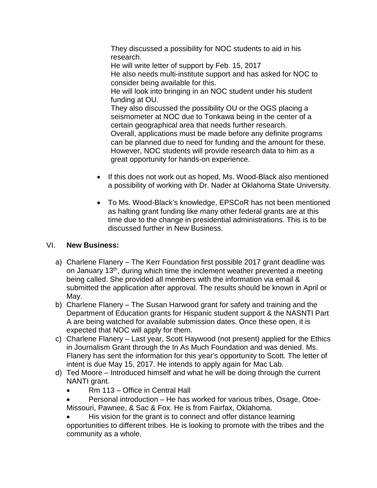They discussed a possibility for NOC students to aid in his research.

He will write letter of support by Feb. 15, 2017 He also needs multi-institute support and has asked for NOC to consider being available for this.

He will look into bringing in an NOC student under his student funding at OU.

They also discussed the possibility OU or the OGS placing a seismometer at NOC due to Tonkawa being in the center of a certain geographical area that needs further research. Overall, applications must be made before any definite programs can be planned due to need for funding and the amount for these. However, NOC students will provide research data to him as a great opportunity for hands-on experience.

- If this does not work out as hoped, Ms. Wood-Black also mentioned a possibility of working with Dr. Nader at Oklahoma State University.
- To Ms. Wood-Black's knowledge, EPSCoR has not been mentioned as halting grant funding like many other federal grants are at this time due to the change in presidential administrations. This is to be discussed further in New Business.

## VI. **New Business:**

- a) Charlene Flanery The Kerr Foundation first possible 2017 grant deadline was on January 13<sup>th</sup>, during which time the inclement weather prevented a meeting being called. She provided all members with the information via email & submitted the application after approval. The results should be known in April or May.
- b) Charlene Flanery The Susan Harwood grant for safety and training and the Department of Education grants for Hispanic student support & the NASNTI Part A are being watched for available submission dates. Once these open, it is expected that NOC will apply for them.
- c) Charlene Flanery Last year, Scott Haywood (not present) applied for the Ethics in Journalism Grant through the In As Much Foundation and was denied. Ms. Flanery has sent the information for this year's opportunity to Scott. The letter of intent is due May 15, 2017. He intends to apply again for Mac Lab.
- d) Ted Moore Introduced himself and what he will be doing through the current NANTI grant.
	- Rm 113 Office in Central Hall
	- Personal introduction He has worked for various tribes, Osage, Otoe-Missouri, Pawnee, & Sac & Fox. He is from Fairfax, Oklahoma.

His vision for the grant is to connect and offer distance learning opportunities to different tribes. He is looking to promote with the tribes and the community as a whole.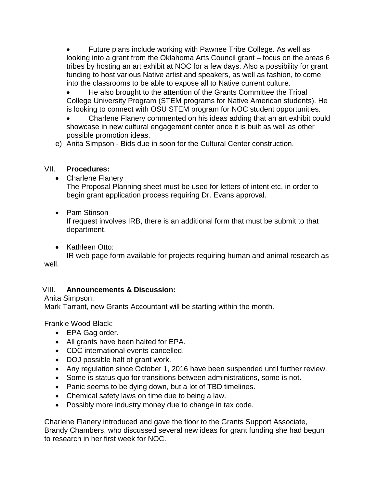• Future plans include working with Pawnee Tribe College. As well as looking into a grant from the Oklahoma Arts Council grant – focus on the areas 6 tribes by hosting an art exhibit at NOC for a few days. Also a possibility for grant funding to host various Native artist and speakers, as well as fashion, to come into the classrooms to be able to expose all to Native current culture.

• He also brought to the attention of the Grants Committee the Tribal College University Program (STEM programs for Native American students). He is looking to connect with OSU STEM program for NOC student opportunities.

• Charlene Flanery commented on his ideas adding that an art exhibit could showcase in new cultural engagement center once it is built as well as other possible promotion ideas.

e) Anita Simpson - Bids due in soon for the Cultural Center construction.

### VII. **Procedures:**

• Charlene Flanery

The Proposal Planning sheet must be used for letters of intent etc. in order to begin grant application process requiring Dr. Evans approval.

### • Pam Stinson

If request involves IRB, there is an additional form that must be submit to that department.

• Kathleen Otto:

IR web page form available for projects requiring human and animal research as well.

# VIII. **Announcements & Discussion:**

Anita Simpson:

Mark Tarrant, new Grants Accountant will be starting within the month.

Frankie Wood-Black:

- EPA Gag order.
- All grants have been halted for EPA.
- CDC international events cancelled.
- DOJ possible halt of grant work.
- Any regulation since October 1, 2016 have been suspended until further review.
- Some is status quo for transitions between administrations, some is not.
- Panic seems to be dying down, but a lot of TBD timelines.
- Chemical safety laws on time due to being a law.
- Possibly more industry money due to change in tax code.

Charlene Flanery introduced and gave the floor to the Grants Support Associate, Brandy Chambers, who discussed several new ideas for grant funding she had begun to research in her first week for NOC.